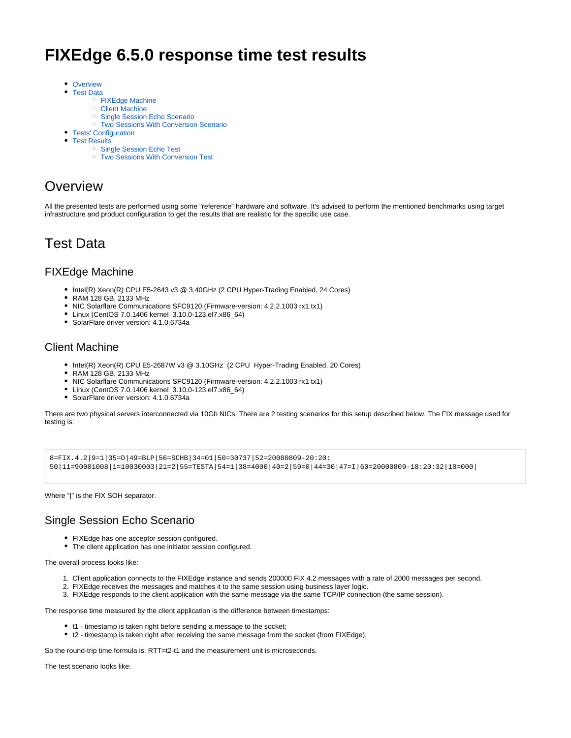# **FIXEdge 6.5.0 response time test results**

- [Overview](#page-0-0)  $\bullet$ 
	- [Test Data](#page-0-1)
		- [FIXEdge Machine](#page-0-2)
			- <sup>o</sup> [Client Machine](#page-0-3)
			- <sup>o</sup> [Single Session Echo Scenario](#page-0-4)
		- <sup>o</sup> [Two Sessions With Conversion Scenario](#page-1-0)
- [Tests' Configuration](#page-2-0)
- [Test Results](#page-3-0)
	- <sup>o</sup> [Single Session Echo Test](#page-3-1)
		- [Two Sessions With Conversion Test](#page-4-0)

### <span id="page-0-0"></span>**Overview**

All the presented tests are performed using some "reference" hardware and software. It's advised to perform the mentioned benchmarks using target infrastructure and product configuration to get the results that are realistic for the specific use case.

## <span id="page-0-1"></span>Test Data

#### <span id="page-0-2"></span>FIXEdge Machine

- Intel(R) Xeon(R) CPU E5-2643 v3 @ 3.40GHz (2 CPU Hyper-Trading Enabled, 24 Cores)
- RAM 128 GB, 2133 MHz
- NIC Solarflare Communications SFC9120 (Firmware-version: 4.2.2.1003 rx1 tx1)
- Linux (CentOS 7.0.1406 kernel 3.10.0-123.el7.x86\_64)
- SolarFlare driver version: 4.1.0.6734a

#### <span id="page-0-3"></span>Client Machine

- Intel(R) Xeon(R) CPU E5-2687W v3 @ 3.10GHz (2 CPU Hyper-Trading Enabled, 20 Cores)
- RAM 128 GB, 2133 MHz
- $\bullet$ NIC Solarflare Communications SFC9120 (Firmware-version: 4.2.2.1003 rx1 tx1)
- Linux (CentOS 7.0.1406 kernel 3.10.0-123.el7.x86\_64)
- $\bullet$ SolarFlare driver version: 4.1.0.6734a

There are two physical servers interconnected via 10Gb NICs. There are 2 testing scenarios for this setup described below. The FIX message used for testing is:

```
8=FIX.4.2|9=1|35=D|49=BLP|56=SCHB|34=01|50=30737|52=20000809-20:20:
50|11=90001008|1=10030003|21=2|55=TESTA|54=1|38=4000|40=2|59=0|44=30|47=I|60=20000809-18:20:32|10=000|
```
Where "|" is the FIX SOH separator.

#### <span id="page-0-4"></span>Single Session Echo Scenario

- FIXEdge has one acceptor session configured.
- The client application has one initiator session configured.

The overall process looks like:

- 1. Client application connects to the FIXEdge instance and sends 200000 FIX 4.2 messages with a rate of 2000 messages per second.
- 2. FIXEdge receives the messages and matches it to the same session using business layer logic.
- 3. FIXEdge responds to the client application with the same message via the same TCP/IP connection (the same session).

The response time measured by the client application is the difference between timestamps:

- t1 timestamp is taken right before sending a message to the socket;
- t2 timestamp is taken right after receiving the same message from the socket (from FIXEdge).

So the round-trip time formula is: RTT=t2-t1 and the measurement unit is microseconds.

The test scenario looks like: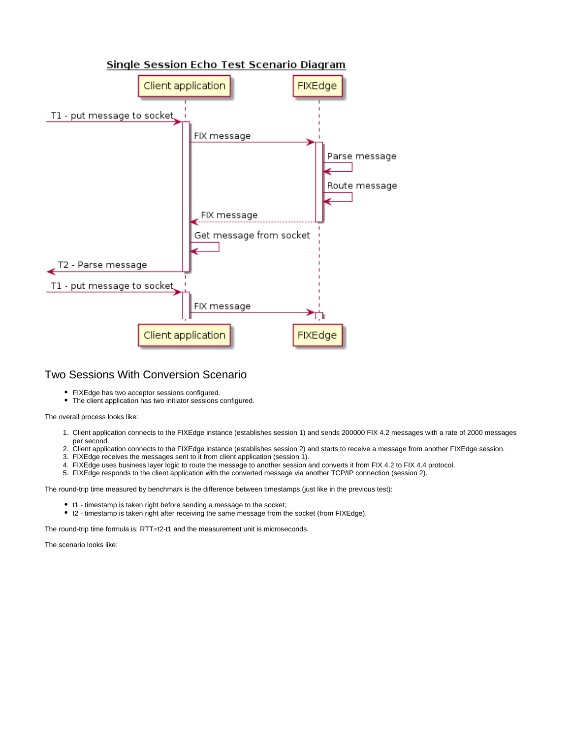

#### <span id="page-1-0"></span>Two Sessions With Conversion Scenario

- FIXEdge has two acceptor sessions configured.
- The client application has two initiator sessions configured.

The overall process looks like:

- 1. Client application connects to the FIXEdge instance (establishes session 1) and sends 200000 FIX 4.2 messages with a rate of 2000 messages per second.
- 2. Client application connects to the FIXEdge instance (establishes session 2) and starts to receive a message from another FIXEdge session.
- 3. FIXEdge receives the messages sent to it from client application (session 1).
- 4. FIXEdge uses business layer logic to route the message to another session and converts it from FIX 4.2 to FIX 4.4 protocol.
- 5. FIXEdge responds to the client application with the converted message via another TCP/IP connection (session 2).

The round-trip time measured by benchmark is the difference between timestamps (just like in the previous test):

- t1 timestamp is taken right before sending a message to the socket;
- t2 timestamp is taken right after receiving the same message from the socket (from FIXEdge).

The round-trip time formula is: RTT=t2-t1 and the measurement unit is microseconds.

The scenario looks like: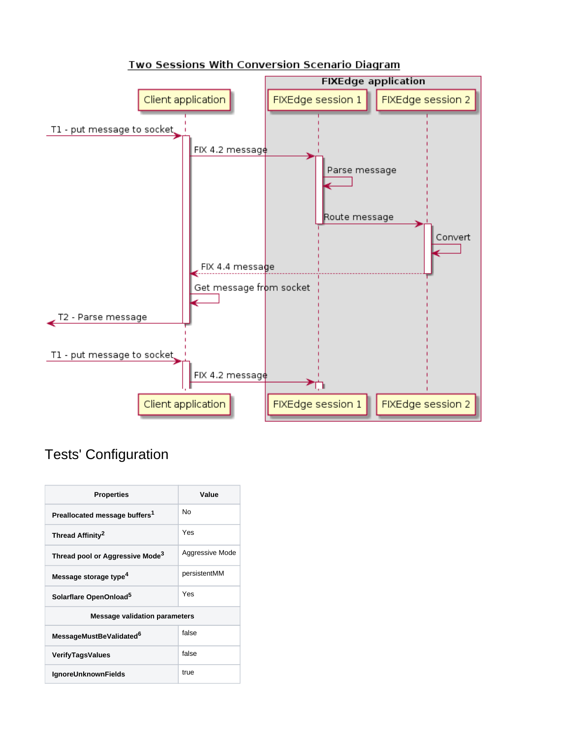

#### Two Sessions With Conversion Scenario Diagram

## <span id="page-2-0"></span>Tests' Configuration

| <b>Properties</b>                           | Value           |
|---------------------------------------------|-----------------|
| Preallocated message buffers <sup>1</sup>   | No              |
| Thread Affinity <sup>2</sup>                | Yes             |
| Thread pool or Aggressive Mode <sup>3</sup> | Aggressive Mode |
| Message storage type <sup>4</sup>           | persistentMM    |
| Solarflare OpenOnload <sup>5</sup>          | Yes             |
| <b>Message validation parameters</b>        |                 |
| MessageMustBeValidated <sup>6</sup>         | false           |
| <b>VerifyTagsValues</b>                     | false           |
| <b>IgnoreUnknownFields</b>                  | true            |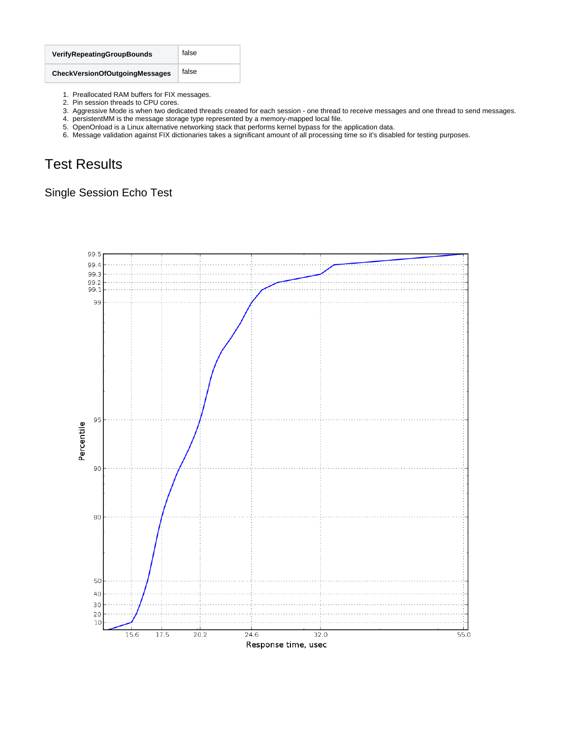| <b>VerifyRepeatingGroupBounds</b>     | false |
|---------------------------------------|-------|
| <b>CheckVersionOfOutgoingMessages</b> | false |

- 1. Preallocated RAM buffers for FIX messages.
- 2. Pin session threads to CPU cores.
- 3. Aggressive Mode is when two dedicated threads created for each session one thread to receive messages and one thread to send messages.
- 4. persistentMM is the message storage type represented by a memory-mapped local file.
- 5. OpenOnload is a Linux alternative networking stack that performs kernel bypass for the application data.
- 6. Message validation against FIX dictionaries takes a significant amount of all processing time so it's disabled for testing purposes.

# <span id="page-3-0"></span>Test Results

### <span id="page-3-1"></span>Single Session Echo Test

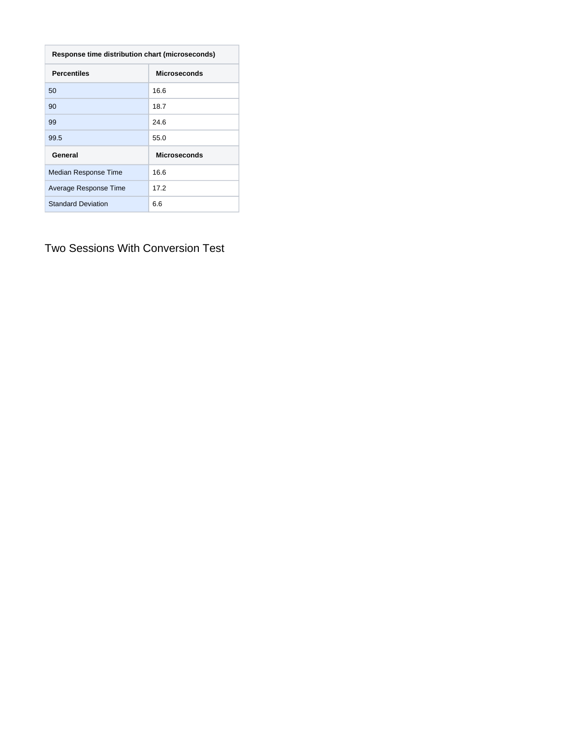| Response time distribution chart (microseconds) |                     |  |
|-------------------------------------------------|---------------------|--|
| <b>Percentiles</b>                              | <b>Microseconds</b> |  |
| 50                                              | 16.6                |  |
| 90                                              | 18.7                |  |
| 99                                              | 24.6                |  |
| 99.5                                            | 55.0                |  |
| General                                         | <b>Microseconds</b> |  |
| Median Response Time                            | 16.6                |  |
| Average Response Time                           | 17.2                |  |
| <b>Standard Deviation</b>                       | 6.6                 |  |

<span id="page-4-0"></span>Two Sessions With Conversion Test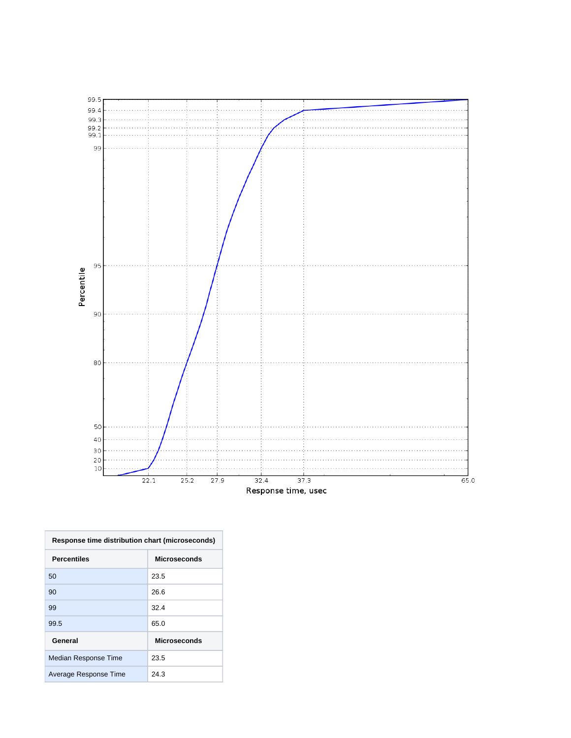

| Response time distribution chart (microseconds) |                     |  |
|-------------------------------------------------|---------------------|--|
| Percentiles                                     | <b>Microseconds</b> |  |
| 50                                              | 23.5                |  |
| 90                                              | 26.6                |  |
| 99                                              | 32.4                |  |
| 99.5                                            | 65.0                |  |
| General                                         | <b>Microseconds</b> |  |
| Median Response Time                            | 23.5                |  |
| Average Response Time                           | 24.3                |  |